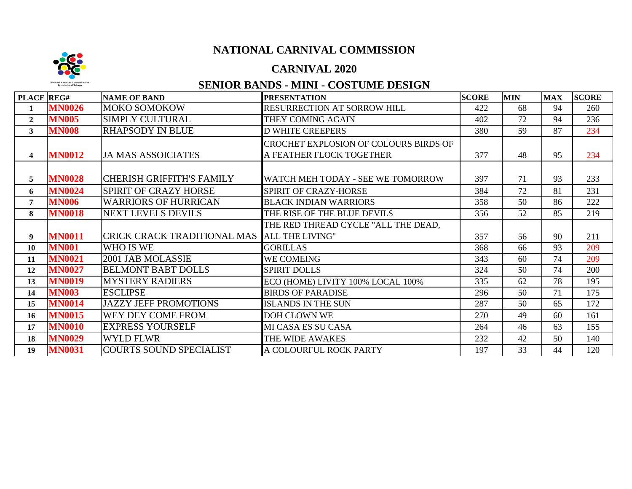# **NATIONAL CARNIVAL COMMISSION**

#### **CARNIVAL 2020**

# **SENIOR BANDS - MINI - COSTUME DESIGN**

**TOTAL** 

**FINAL** 

| PLACE REG#              |               | <b>NAME OF BAND</b>                         | <b>PRESENTATION</b>                          | <b>SCORE</b> | <b>MIN</b> | <b>MAX</b> | <b>SCORE</b> |
|-------------------------|---------------|---------------------------------------------|----------------------------------------------|--------------|------------|------------|--------------|
| 1                       | <b>MN0026</b> | <b>MOKO SOMOKOW</b>                         | <b>RESURRECTION AT SORROW HILL</b>           | 422          | 68         | 94         | 260          |
| $\mathbf{2}$            | <b>MN005</b>  | <b>SIMPLY CULTURAL</b>                      | THEY COMING AGAIN                            | 402          | 72         | 94         | 236          |
| 3                       | <b>MN008</b>  | <b>RHAPSODY IN BLUE</b>                     | <b>D WHITE CREEPERS</b>                      | 380          | 59         | 87         | 234          |
|                         |               |                                             | <b>CROCHET EXPLOSION OF COLOURS BIRDS OF</b> |              |            |            |              |
| $\overline{\mathbf{4}}$ | <b>MN0012</b> | <b>JA MAS ASSOICIATES</b>                   | A FEATHER FLOCK TOGETHER                     | 377          | 48         | 95         | 234          |
|                         |               |                                             |                                              |              |            |            |              |
| 5                       | <b>MN0028</b> | <b>CHERISH GRIFFITH'S FAMILY</b>            | WATCH MEH TODAY - SEE WE TOMORROW            | 397          | 71         | 93         | 233          |
| 6                       | <b>MN0024</b> | <b>SPIRIT OF CRAZY HORSE</b>                | SPIRIT OF CRAZY-HORSE                        | 384          | 72         | 81         | 231          |
| $\overline{7}$          | <b>MN006</b>  | <b>WARRIORS OF HURRICAN</b>                 | <b>BLACK INDIAN WARRIORS</b>                 | 358          | 50         | 86         | 222          |
| 8                       | <b>MN0018</b> | <b>NEXT LEVELS DEVILS</b>                   | THE RISE OF THE BLUE DEVILS                  | 356          | 52         | 85         | 219          |
|                         |               |                                             | THE RED THREAD CYCLE "ALL THE DEAD,          |              |            |            |              |
| 9                       | <b>MN0011</b> | CRICK CRACK TRADITIONAL MAS ALL THE LIVING" |                                              | 357          | 56         | 90         | 211          |
| 10                      | <b>MN001</b>  | WHO IS WE                                   | <b>GORILLAS</b>                              | 368          | 66         | 93         | 209          |
| 11                      | <b>MN0021</b> | 2001 JAB MOLASSIE                           | WE COMEING                                   | 343          | 60         | 74         | 209          |
| 12                      | <b>MN0027</b> | <b>BELMONT BABT DOLLS</b>                   | <b>SPIRIT DOLLS</b>                          | 324          | 50         | 74         | 200          |
| 13                      | <b>MN0019</b> | <b>MYSTERY RADIERS</b>                      | ECO (HOME) LIVITY 100% LOCAL 100%            | 335          | 62         | 78         | 195          |
| 14                      | <b>MN003</b>  | <b>ESCLIPSE</b>                             | <b>BIRDS OF PARADISE</b>                     | 296          | 50         | 71         | 175          |
| 15                      | <b>MN0014</b> | <b>JAZZY JEFF PROMOTIONS</b>                | <b>ISLANDS IN THE SUN</b>                    | 287          | 50         | 65         | 172          |
| 16                      | <b>MN0015</b> | WEY DEY COME FROM                           | <b>DOH CLOWN WE</b>                          | 270          | 49         | 60         | 161          |
| 17                      | <b>MN0010</b> | <b>EXPRESS YOURSELF</b>                     | MI CASA ES SU CASA                           | 264          | 46         | 63         | 155          |
| 18                      | <b>MN0029</b> | <b>WYLD FLWR</b>                            | THE WIDE AWAKES                              | 232          | 42         | 50         | 140          |
| 19                      | <b>MN0031</b> | <b>COURTS SOUND SPECIALIST</b>              | A COLOURFUL ROCK PARTY                       | 197          | 33         | 44         | 120          |

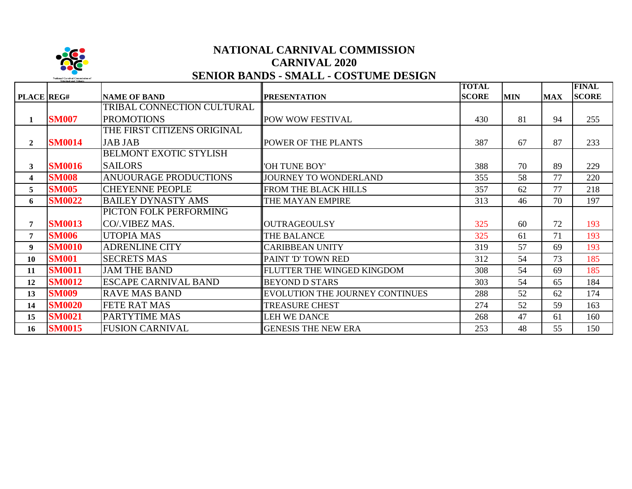

### **NATIONAL CARNIVAL COMMISSION CARNIVAL 2020 SENIOR BANDS - SMALL - COSTUME DESIGN**

|                   |               |                               |                                 | <b>TOTAL</b> |            |            | <b>FINAL</b> |
|-------------------|---------------|-------------------------------|---------------------------------|--------------|------------|------------|--------------|
| <b>PLACE</b> REG# |               | <b>NAME OF BAND</b>           | <b>PRESENTATION</b>             | <b>SCORE</b> | <b>MIN</b> | <b>MAX</b> | <b>SCORE</b> |
|                   |               | TRIBAL CONNECTION CULTURAL    |                                 |              |            |            |              |
| $\mathbf{1}$      | <b>SM007</b>  | <b>PROMOTIONS</b>             | POW WOW FESTIVAL                | 430          | 81         | 94         | 255          |
|                   |               | THE FIRST CITIZENS ORIGINAL   |                                 |              |            |            |              |
| $\mathbf{2}$      | <b>SM0014</b> | <b>JAB JAB</b>                | POWER OF THE PLANTS             | 387          | 67         | 87         | 233          |
|                   |               | <b>BELMONT EXOTIC STYLISH</b> |                                 |              |            |            |              |
| $\mathbf{3}$      | <b>SM0016</b> | <b>SAILORS</b>                | 'OH TUNE BOY'                   | 388          | 70         | 89         | 229          |
| 4                 | <b>SM008</b>  | <b>ANUOURAGE PRODUCTIONS</b>  | JOURNEY TO WONDERLAND           | 355          | 58         | 77         | 220          |
| 5                 | <b>SM005</b>  | <b>CHEYENNE PEOPLE</b>        | FROM THE BLACK HILLS            | 357          | 62         | 77         | 218          |
| 6                 | <b>SM0022</b> | <b>BAILEY DYNASTY AMS</b>     | THE MAYAN EMPIRE                | 313          | 46         | 70         | 197          |
|                   |               | PICTON FOLK PERFORMING        |                                 |              |            |            |              |
| 7                 | <b>SM0013</b> | CO/.VIBEZ MAS.                | <b>OUTRAGEOULSY</b>             | 325          | 60         | 72         | 193          |
| 7                 | <b>SM006</b>  | UTOPIA MAS                    | <b>THE BALANCE</b>              | 325          | 61         | 71         | 193          |
| 9                 | <b>SM0010</b> | <b>ADRENLINE CITY</b>         | <b>CARIBBEAN UNITY</b>          | 319          | 57         | 69         | 193          |
| 10                | <b>SM001</b>  | <b>SECRETS MAS</b>            | PAINT 'D' TOWN RED              | 312          | 54         | 73         | 185          |
| 11                | <b>SM0011</b> | <b>JAM THE BAND</b>           | FLUTTER THE WINGED KINGDOM      | 308          | 54         | 69         | 185          |
| 12                | <b>SM0012</b> | <b>ESCAPE CARNIVAL BAND</b>   | <b>BEYOND D STARS</b>           | 303          | 54         | 65         | 184          |
| 13                | <b>SM009</b>  | <b>RAVE MAS BAND</b>          | EVOLUTION THE JOURNEY CONTINUES | 288          | 52         | 62         | 174          |
| 14                | <b>SM0020</b> | <b>FETE RAT MAS</b>           | <b>TREASURE CHEST</b>           | 274          | 52         | 59         | 163          |
| 15                | <b>SM0021</b> | <b>PARTYTIME MAS</b>          | <b>LEH WE DANCE</b>             | 268          | 47         | 61         | 160          |
| 16                | <b>SM0015</b> | <b>FUSION CARNIVAL</b>        | <b>GENESIS THE NEW ERA</b>      | 253          | 48         | 55         | 150          |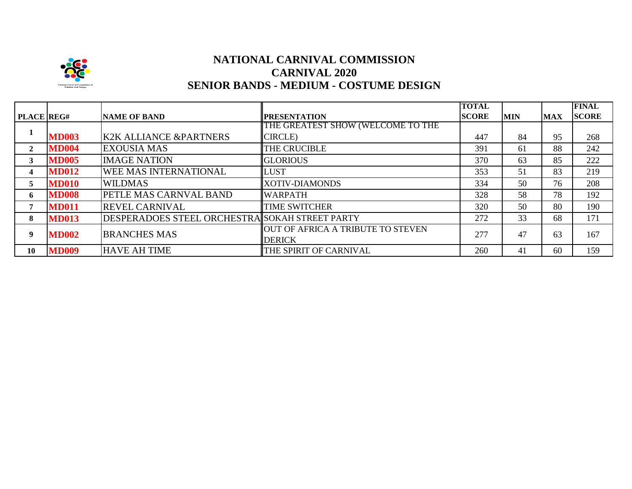

# **CARNIVAL 2020 SENIOR BANDS - MEDIUM - COSTUME DESIGN NATIONAL CARNIVAL COMMISSION**

|                   |              |                                                |                                   | <b>TOTAL</b> |            |            | <b>FINAL</b> |
|-------------------|--------------|------------------------------------------------|-----------------------------------|--------------|------------|------------|--------------|
| <b>PLACE REG#</b> |              | <b>NAME OF BAND</b>                            | <b>PRESENTATION</b>               | <b>SCORE</b> | <b>MIN</b> | <b>MAX</b> | <b>SCORE</b> |
|                   |              |                                                | THE GREATEST SHOW (WELCOME TO THE |              |            |            |              |
|                   | <b>MD003</b> | <b>K2K ALLIANCE &amp;PARTNERS</b>              | <b>CIRCLE</b> )                   | 447          | 84         | 95         | 268          |
| 2                 | <b>MD004</b> | <b>EXOUSIA MAS</b>                             | THE CRUCIBLE                      | 391          | 61         | 88         | 242          |
| 3                 | <b>MD005</b> | <b>IMAGE NATION</b>                            | <b>GLORIOUS</b>                   | 370          | 63         | 85         | 222          |
| 4                 | <b>MD012</b> | WEE MAS INTERNATIONAL                          | <b>LUST</b>                       | 353          | 51         | 83         | 219          |
| 5                 | <b>MD010</b> | <b>WILDMAS</b>                                 | <b>XOTIV-DIAMONDS</b>             | 334          | 50         | 76         | 208          |
| 6                 | <b>MD008</b> | PETLE MAS CARNVAL BAND                         | <b>WARPATH</b>                    | 328          | 58         | 78         | 192          |
| 7                 | <b>MD011</b> | <b>REVEL CARNIVAL</b>                          | <b>TIME SWITCHER</b>              | 320          | 50         | 80         | 190          |
| 8                 | <b>MD013</b> | DESPERADOES STEEL ORCHESTRA SOKAH STREET PARTY |                                   | 272          | 33         | 68         | 171          |
| 9                 | <b>MD002</b> | <b>BRANCHES MAS</b>                            | OUT OF AFRICA A TRIBUTE TO STEVEN | 277          | 47         | 63         | 167          |
|                   |              |                                                | <b>DERICK</b>                     |              |            |            |              |
| 10                | <b>MD009</b> | <b>HAVE AH TIME</b>                            | THE SPIRIT OF CARNIVAL            | 260          | 41         | 60         | 159          |